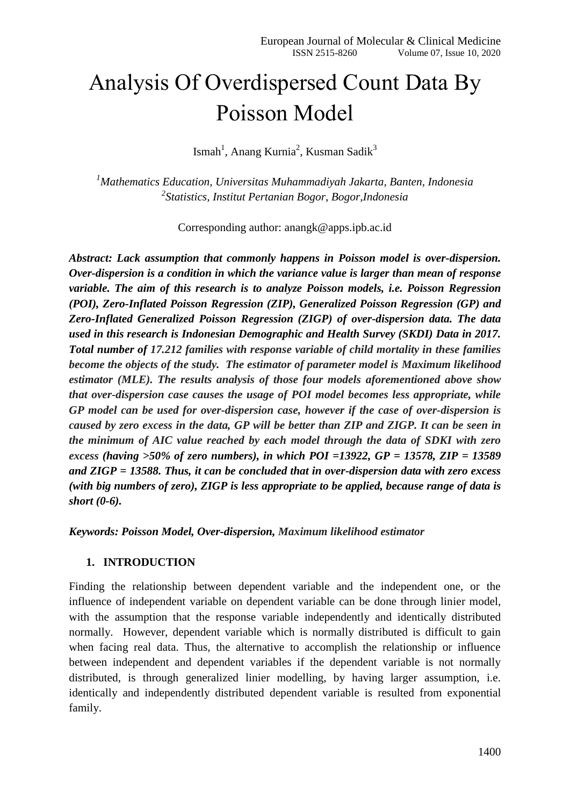# Analysis Of Overdispersed Count Data By Poisson Model

Ismah<sup>1</sup>, Anang Kurnia<sup>2</sup>, Kusman Sadik<sup>3</sup>

*<sup>1</sup>Mathematics Education, Universitas Muhammadiyah Jakarta, Banten, Indonesia 2 Statistics, Institut Pertanian Bogor, Bogor,Indonesia*

Corresponding author: [anangk@apps.ipb.ac.id](mailto:anangk@apps.ipb.ac.id)

*Abstract: Lack assumption that commonly happens in Poisson model is over-dispersion. Over-dispersion is a condition in which the variance value is larger than mean of response variable. The aim of this research is to analyze Poisson models, i.e. Poisson Regression (POI), Zero-Inflated Poisson Regression (ZIP), Generalized Poisson Regression (GP) and Zero-Inflated Generalized Poisson Regression (ZIGP) of over-dispersion data. The data used in this research is Indonesian Demographic and Health Survey (SKDI) Data in 2017. Total number of 17.212 families with response variable of child mortality in these families become the objects of the study. The estimator of parameter model is Maximum likelihood estimator (MLE). The results analysis of those four models aforementioned above show that over-dispersion case causes the usage of POI model becomes less appropriate, while GP model can be used for over-dispersion case, however if the case of over-dispersion is caused by zero excess in the data, GP will be better than ZIP and ZIGP. It can be seen in the minimum of AIC value reached by each model through the data of SDKI with zero excess (having >50% of zero numbers), in which POI =13922, GP = 13578, ZIP = 13589 and ZIGP = 13588. Thus, it can be concluded that in over-dispersion data with zero excess (with big numbers of zero), ZIGP is less appropriate to be applied, because range of data is short (0-6).*

*Keywords: Poisson Model, Over-dispersion, Maximum likelihood estimator*

#### **1. INTRODUCTION**

Finding the relationship between dependent variable and the independent one, or the influence of independent variable on dependent variable can be done through linier model, with the assumption that the response variable independently and identically distributed normally. However, dependent variable which is normally distributed is difficult to gain when facing real data. Thus, the alternative to accomplish the relationship or influence between independent and dependent variables if the dependent variable is not normally distributed, is through generalized linier modelling, by having larger assumption, i.e. identically and independently distributed dependent variable is resulted from exponential family.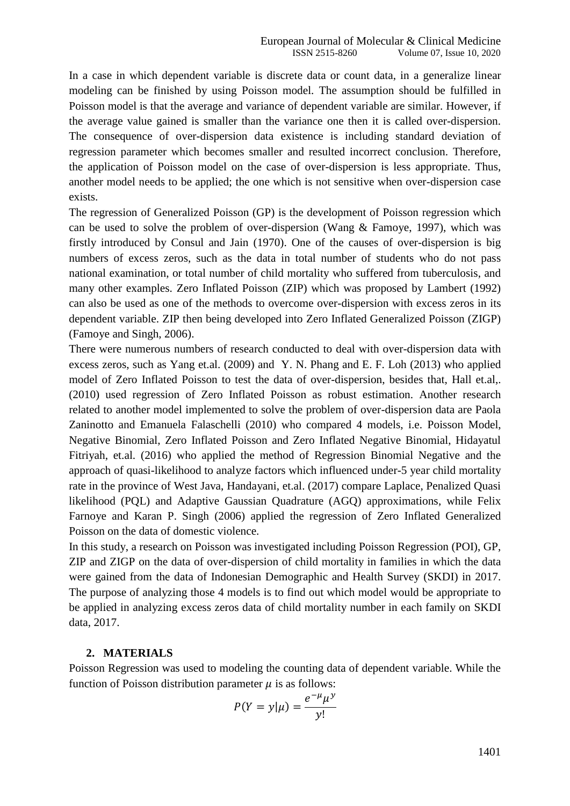In a case in which dependent variable is discrete data or count data, in a generalize linear modeling can be finished by using Poisson model. The assumption should be fulfilled in Poisson model is that the average and variance of dependent variable are similar. However, if the average value gained is smaller than the variance one then it is called over-dispersion. The consequence of over-dispersion data existence is including standard deviation of regression parameter which becomes smaller and resulted incorrect conclusion. Therefore, the application of Poisson model on the case of over-dispersion is less appropriate. Thus, another model needs to be applied; the one which is not sensitive when over-dispersion case exists.

The regression of Generalized Poisson (GP) is the development of Poisson regression which can be used to solve the problem of over-dispersion (Wang & Famoye, 1997), which was firstly introduced by Consul and Jain (1970). One of the causes of over-dispersion is big numbers of excess zeros, such as the data in total number of students who do not pass national examination, or total number of child mortality who suffered from tuberculosis, and many other examples. Zero Inflated Poisson (ZIP) which was proposed by Lambert (1992) can also be used as one of the methods to overcome over-dispersion with excess zeros in its dependent variable. ZIP then being developed into Zero Inflated Generalized Poisson (ZIGP) (Famoye and Singh, 2006).

There were numerous numbers of research conducted to deal with over-dispersion data with excess zeros, such as Yang et.al. (2009) and Y. N. Phang and E. F. Loh (2013) who applied model of Zero Inflated Poisson to test the data of over-dispersion, besides that, Hall et.al,. (2010) used regression of Zero Inflated Poisson as robust estimation. Another research related to another model implemented to solve the problem of over-dispersion data are Paola Zaninotto and Emanuela Falaschelli (2010) who compared 4 models, i.e. Poisson Model, Negative Binomial, Zero Inflated Poisson and Zero Inflated Negative Binomial, Hidayatul Fitriyah, et.al. (2016) who applied the method of Regression Binomial Negative and the approach of quasi-likelihood to analyze factors which influenced under-5 year child mortality rate in the province of West Java, Handayani, et.al. (2017) compare Laplace, Penalized Quasi likelihood (PQL) and Adaptive Gaussian Quadrature (AGQ) approximations, while Felix Farnoye and Karan P. Singh (2006) applied the regression of Zero Inflated Generalized Poisson on the data of domestic violence.

In this study, a research on Poisson was investigated including Poisson Regression (POI), GP, ZIP and ZIGP on the data of over-dispersion of child mortality in families in which the data were gained from the data of Indonesian Demographic and Health Survey (SKDI) in 2017. The purpose of analyzing those 4 models is to find out which model would be appropriate to be applied in analyzing excess zeros data of child mortality number in each family on SKDI data, 2017.

#### **2. MATERIALS**

Poisson Regression was used to modeling the counting data of dependent variable. While the function of Poisson distribution parameter  $\mu$  is as follows:

$$
P(Y = y | \mu) = \frac{e^{-\mu} \mu^y}{y!}
$$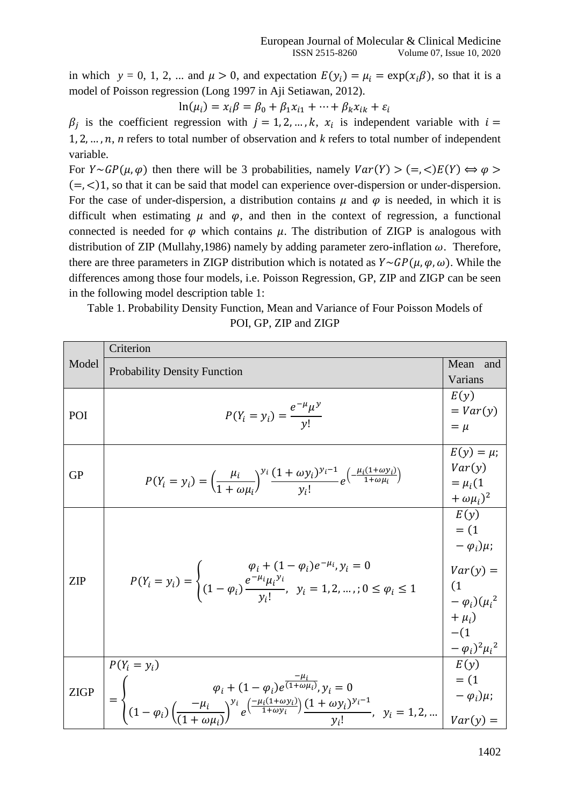in which  $y = 0, 1, 2, ...$  and  $\mu > 0$ , and expectation  $E(y_i) = \mu_i = \exp(x_i \beta)$ , so that it is a model of Poisson regression (Long 1997 in Aji Setiawan, 2012).

$$
\ln(\mu_i) = x_i \beta = \beta_0 + \beta_1 x_{i1} + \dots + \beta_k x_{ik} + \varepsilon_i
$$

 $\beta_i$  is the coefficient regression with  $j = 1, 2, ..., k$ ,  $x_i$  is independent variable with i  $1, 2, \ldots, n$ , *n* refers to total number of observation and *k* refers to total number of independent variable.

For  $Y \sim GP(\mu, \varphi)$  then there will be 3 probabilities, namely  $Var(Y) > (=\le)E(Y) \Leftrightarrow \varphi >$  $( = , <)1$ , so that it can be said that model can experience over-dispersion or under-dispersion. For the case of under-dispersion, a distribution contains  $\mu$  and  $\varphi$  is needed, in which it is difficult when estimating  $\mu$  and  $\varphi$ , and then in the context of regression, a functional connected is needed for  $\varphi$  which contains  $\mu$ . The distribution of ZIGP is analogous with distribution of ZIP (Mullahy, 1986) namely by adding parameter zero-inflation  $\omega$ . Therefore, there are three parameters in ZIGP distribution which is notated as  $Y \sim GP(\mu, \varphi, \omega)$ . While the differences among those four models, i.e. Poisson Regression, GP, ZIP and ZIGP can be seen in the following model description table 1:

Table 1. Probability Density Function, Mean and Variance of Four Poisson Models of POI, GP, ZIP and ZIGP

|             | Criterion                                                                                                                                                                                                                                                   |                                 |  |  |
|-------------|-------------------------------------------------------------------------------------------------------------------------------------------------------------------------------------------------------------------------------------------------------------|---------------------------------|--|--|
| Model       | <b>Probability Density Function</b>                                                                                                                                                                                                                         | Mean<br>and                     |  |  |
|             |                                                                                                                                                                                                                                                             | Varians                         |  |  |
|             |                                                                                                                                                                                                                                                             | E(y)                            |  |  |
| POI         | $P(Y_i = y_i) = \frac{e^{i\pi} \mu^{y}}{y!}$                                                                                                                                                                                                                | $= Var(y)$                      |  |  |
|             |                                                                                                                                                                                                                                                             | $=$ $\mu$                       |  |  |
|             |                                                                                                                                                                                                                                                             | $E(y) = \mu$ ;                  |  |  |
| <b>GP</b>   |                                                                                                                                                                                                                                                             | Var(y)                          |  |  |
|             | $P(Y_i = y_i) = \left(\frac{\mu_i}{1 + \omega \mu_i}\right)^{y_i} \frac{(1 + \omega y_i)^{y_i - 1}}{y_i!} e^{\left(-\frac{\mu_i (1 + \omega y_i)}{1 + \omega \mu_i}\right)}$                                                                                | $=\mu_i(1)$                     |  |  |
|             |                                                                                                                                                                                                                                                             | $(\omega \mu_i)^2$              |  |  |
|             |                                                                                                                                                                                                                                                             | E(y)<br>$= (1)$                 |  |  |
|             |                                                                                                                                                                                                                                                             |                                 |  |  |
|             |                                                                                                                                                                                                                                                             |                                 |  |  |
|             | $P(Y_i = y_i) = \begin{cases} \varphi_i + (1-\varphi_i)e^{-\mu_i}, y_i = 0 \\ (1-\varphi_i)\frac{e^{-\mu_i}\mu_i^{y_i}}{v_i!}, & y_i = 1, 2, ,; 0 \le \varphi_i \le 1 \end{cases}$                                                                          | $Var(y) =$                      |  |  |
| <b>ZIP</b>  |                                                                                                                                                                                                                                                             | (1)                             |  |  |
|             |                                                                                                                                                                                                                                                             | $-\varphi_i^{\,i}(\mu_i^{\,2})$ |  |  |
|             |                                                                                                                                                                                                                                                             |                                 |  |  |
|             |                                                                                                                                                                                                                                                             | $-(1)$                          |  |  |
|             |                                                                                                                                                                                                                                                             | $-\varphi_i^2\mu_i^2$           |  |  |
|             | $P(Y_i = y_i)$                                                                                                                                                                                                                                              | E(y)                            |  |  |
|             |                                                                                                                                                                                                                                                             | $= (1)$                         |  |  |
| <b>ZIGP</b> |                                                                                                                                                                                                                                                             | $-\varphi_i\mu;$                |  |  |
|             | $=\begin{cases} \varphi_i+(1-\varphi_i)e^{\frac{-\mu_i}{(1+\omega\mu_i)}}, y_i=0\\ (1-\varphi_i)\left(\frac{-\mu_i}{(1+\omega\mu_i)}\right)^{y_i}e^{\frac{-\mu_i(1+\omega y_i)}{1+\omega y_i}})\frac{(1+\omega y_i)^{y_i-1}}{y_i!}, & y_i=1,2, \end{cases}$ | $Var(v) =$                      |  |  |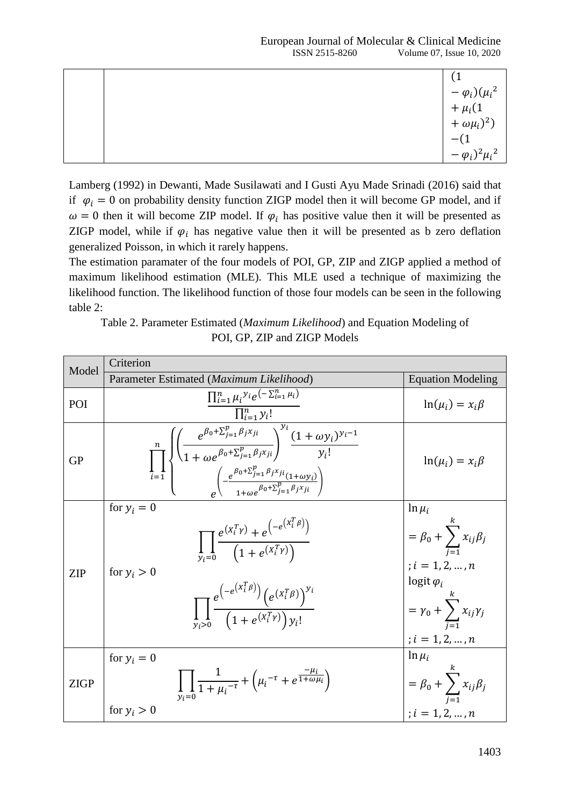|  | $(-\varphi_i)(\mu_i^2 + \mu_i(1 + \omega \mu_i)^2)$<br>-(1<br>- $(\varphi_i)^2 \mu_i^2$ |
|--|-----------------------------------------------------------------------------------------|

Lamberg (1992) in Dewanti, Made Susilawati and I Gusti Ayu Made Srinadi (2016) said that if  $\varphi_i = 0$  on probability density function ZIGP model then it will become GP model, and if  $\omega = 0$  then it will become ZIP model. If  $\varphi_i$  has positive value then it will be presented as ZIGP model, while if  $\varphi_i$  has negative value then it will be presented as b zero deflation generalized Poisson, in which it rarely happens.

The estimation paramater of the four models of POI, GP, ZIP and ZIGP applied a method of maximum likelihood estimation (MLE). This MLE used a technique of maximizing the likelihood function. The likelihood function of those four models can be seen in the following table 2:

Table 2. Parameter Estimated (*Maximum Likelihood*) and Equation Modeling of POI, GP, ZIP and ZIGP Models

| Model       | Criterion                                                                                                                                                                                                                                                                                                   |                                                                                                                                                                  |
|-------------|-------------------------------------------------------------------------------------------------------------------------------------------------------------------------------------------------------------------------------------------------------------------------------------------------------------|------------------------------------------------------------------------------------------------------------------------------------------------------------------|
|             | Parameter Estimated (Maximum Likelihood)                                                                                                                                                                                                                                                                    | <b>Equation Modeling</b>                                                                                                                                         |
| POI         | $\prod_{i=1}^n \mu_i y_i e^{-\sum_{i=1}^n \mu_i}$<br>$\prod_{i=1}^n y_i!$                                                                                                                                                                                                                                   | $\ln(\mu_i) = x_i \beta$                                                                                                                                         |
| <b>GP</b>   | $\prod_{i=1}^n\sqrt{\left(\frac{e^{\beta_0+\sum_{j=1}^p\beta_jx_{ji}}}{1+\omega e^{\beta_0+\sum_{j=1}^p\beta_jx_{ji}}}\right)^{y_i}\frac{(1+\omega y_i)^{y_i-1}}{y_i!}}{\int\limits_{-1+\omega e^{\beta_0+\sum_{j=1}^p\beta_jx_{ji}}(1+\omega y_i)}$                                                        | $\ln(\mu_i) = x_i \beta$                                                                                                                                         |
| <b>ZIP</b>  | for $y_i = 0$<br>$\prod_{y_i=0} \frac{e^{(X_i^T r)} + e^{(-e^{(X_i^T \beta)})}}{(1 + e^{(X_i^T r)})}$<br>for $y_i > 0$<br>$\prod_{\gamma_i>0}\frac{e^{\left(-e^{\left(X_i^T\beta\right)}\right)}\left(e^{\left(X_i^T\beta\right)}\right)^{\gamma_i}}{\left(1+e^{\left(X_i^T\gamma\right)}\right)\gamma_i!}$ | $\ln \mu_i$<br>$= \beta_0 + \sum_{j=1}^k x_{ij} \beta_j$<br>; $i = 1, 2, , n$<br>logit $\varphi_i$<br>$y_0 + \sum_{i=1}^n x_{ij} \gamma_j$<br>; $i=1,2,\ldots,n$ |
| <b>ZIGP</b> | for $y_i = 0$<br>$\prod_{\mu=0}^{\infty} \frac{1}{1 + \mu_i^{-\tau}} + \left( \mu_i^{-\tau} + e^{\frac{-\mu_i}{1 + \omega \mu_i}} \right)$<br>for $y_i > 0$                                                                                                                                                 | $\ln \mu_i$<br>$=$ $\beta_0$ + $\sum_{j=1}^{n} x_{ij} \beta_j$<br>$: i = 1, 2, , n$                                                                              |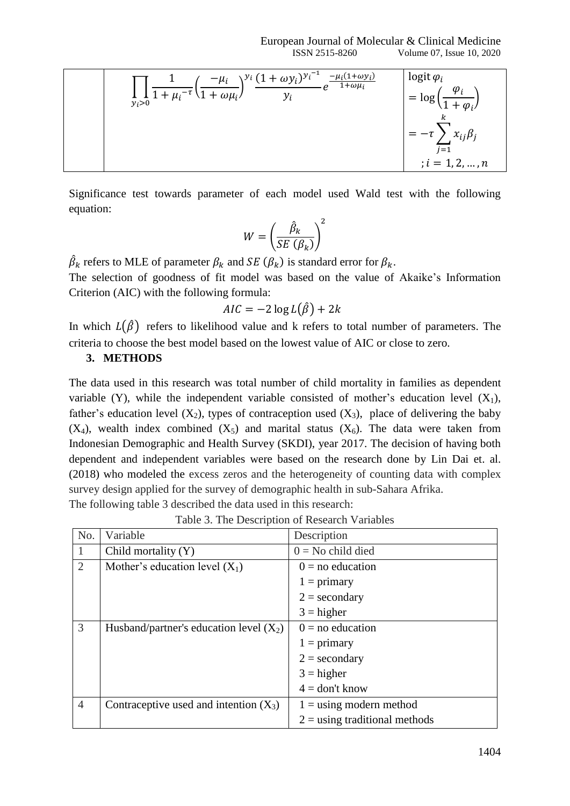European Journal of Molecular & Clinical Medicine ISSN 2515-8260 Volume 07, Issue 10, 2020

$$
\frac{\prod_{y_i>0} \frac{1}{1 + \mu_i^{-\tau}} \left( \frac{-\mu_i}{1 + \omega \mu_i} \right)^{y_i} \frac{(1 + \omega y_i)^{y_i^{-1}}}{y_i} e^{-\frac{\mu_i (1 + \omega y_i)}{1 + \omega \mu_i}}}{\prod_{y_i=1}^{\infty} \frac{1}{1 + \omega_i}} = \log \left( \frac{\varphi_i}{1 + \varphi_i} \right)
$$
\n
$$
= -\tau \sum_{j=1}^k x_{ij} \beta_j
$$
\n
$$
= -\tau \sum_{j=1}^k x_{ij} \beta_j
$$
\n
$$
= 1, 2, ..., n
$$

Significance test towards parameter of each model used Wald test with the following equation:

$$
W = \left(\frac{\hat{\beta}_k}{SE\left(\beta_k\right)}\right)^2
$$

 $\hat{\beta}_k$  refers to MLE of parameter  $\beta_k$  and SE  $(\beta_k)$  is standard error for  $\beta_k$ .

The selection of goodness of fit model was based on the value of Akaike's Information Criterion (AIC) with the following formula:

$$
AIC = -2\log L(\hat{\beta}) + 2k
$$

In which  $L(\hat{\beta})$  refers to likelihood value and k refers to total number of parameters. The criteria to choose the best model based on the lowest value of AIC or close to zero.

#### **3. METHODS**

The data used in this research was total number of child mortality in families as dependent variable (Y), while the independent variable consisted of mother's education level  $(X_1)$ , father's education level  $(X_2)$ , types of contraception used  $(X_3)$ , place of delivering the baby  $(X_4)$ , wealth index combined  $(X_5)$  and marital status  $(X_6)$ . The data were taken from Indonesian Demographic and Health Survey (SKDI), year 2017. The decision of having both dependent and independent variables were based on the research done by Lin Dai et. al. (2018) who modeled the excess zeros and the heterogeneity of counting data with complex survey design applied for the survey of demographic health in sub-Sahara Afrika. The following table 3 described the data used in this research:

| No.            | Variable                                  | Description                     |
|----------------|-------------------------------------------|---------------------------------|
| $\overline{1}$ | Child mortality $(Y)$                     | $0 = No$ child died             |
| 2              | Mother's education level $(X_1)$          | $0 = no$ education              |
|                |                                           | $1 = \text{primary}$            |
|                |                                           | $2 =$ secondary                 |
|                |                                           | $3 = higher$                    |
| 3              | Husband/partner's education level $(X_2)$ | $0 = no$ education              |
|                |                                           | $1 = \text{primary}$            |
|                |                                           | $2 =$ secondary                 |
|                |                                           | $3 = higher$                    |
|                |                                           | $4 =$ don't know                |
| $\overline{4}$ | Contraceptive used and intention $(X_3)$  | $1 =$ using modern method       |
|                |                                           | $2 =$ using traditional methods |

Table 3. The Description of Research Variables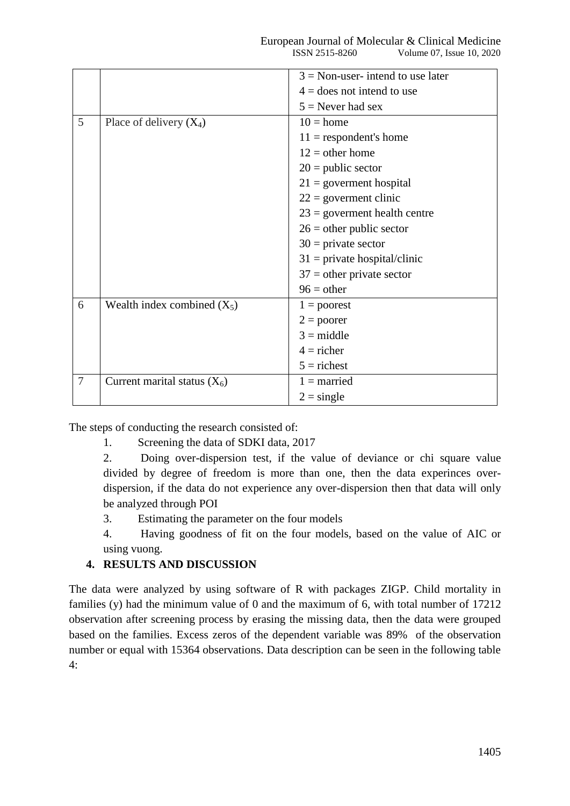|                |                                | $3$ = Non-user- intend to use later |
|----------------|--------------------------------|-------------------------------------|
|                |                                |                                     |
|                |                                | $4 =$ does not intend to use        |
|                |                                | $5$ = Never had sex                 |
| 5              | Place of delivery $(X_4)$      | $10 = home$                         |
|                |                                | $11$ = respondent's home            |
|                |                                | $12 =$ other home                   |
|                |                                | $20$ = public sector                |
|                |                                | $21 =$ government hospital          |
|                |                                | $22 =$ governent clinic             |
|                |                                | $23 =$ government health centre     |
|                |                                | $26$ = other public sector          |
|                |                                | $30 =$ private sector               |
|                |                                | $31$ = private hospital/clinic      |
|                |                                | $37$ = other private sector         |
|                |                                | $96 = other$                        |
| 6              | Wealth index combined $(X_5)$  | $1 =$ poorest                       |
|                |                                | $2 =$ poorer                        |
|                |                                | $3 = middle$                        |
|                |                                | $4 =$ richer                        |
|                |                                | $5 =$ richest                       |
| $\overline{7}$ | Current marital status $(X_6)$ | $1 =$ married                       |
|                |                                | $2 = \text{single}$                 |

The steps of conducting the research consisted of:

1. Screening the data of SDKI data, 2017

2. Doing over-dispersion test, if the value of deviance or chi square value divided by degree of freedom is more than one, then the data experinces overdispersion, if the data do not experience any over-dispersion then that data will only be analyzed through POI

3. Estimating the parameter on the four models

4. Having goodness of fit on the four models, based on the value of AIC or using vuong.

## **4. RESULTS AND DISCUSSION**

The data were analyzed by using software of R with packages ZIGP. Child mortality in families (y) had the minimum value of 0 and the maximum of 6, with total number of 17212 observation after screening process by erasing the missing data, then the data were grouped based on the families. Excess zeros of the dependent variable was 89% of the observation number or equal with 15364 observations. Data description can be seen in the following table 4: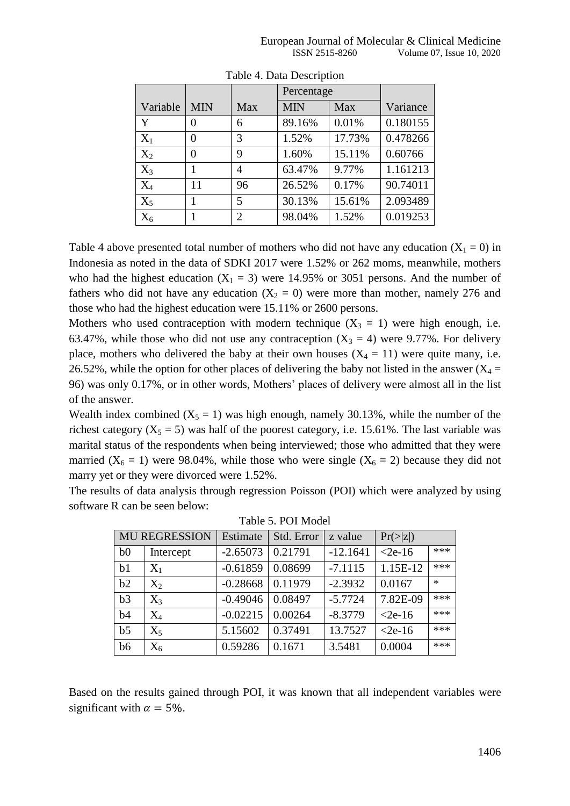|          |            |                             | Percentage |        |          |
|----------|------------|-----------------------------|------------|--------|----------|
| Variable | <b>MIN</b> | Max                         | <b>MIN</b> | Max    | Variance |
| Y        | 0          | 6                           | 89.16%     | 0.01%  | 0.180155 |
| $X_1$    | 0          | 3                           | 1.52%      | 17.73% | 0.478266 |
| $X_2$    | 0          | 9                           | 1.60%      | 15.11% | 0.60766  |
| $X_3$    |            | 4                           | 63.47%     | 9.77%  | 1.161213 |
| $X_4$    | 11         | 96                          | 26.52%     | 0.17%  | 90.74011 |
| $X_5$    |            | 5                           | 30.13%     | 15.61% | 2.093489 |
| $X_6$    |            | $\mathcal{D}_{\mathcal{A}}$ | 98.04%     | 1.52%  | 0.019253 |

Table 4. Data Description

Table 4 above presented total number of mothers who did not have any education  $(X_1 = 0)$  in Indonesia as noted in the data of SDKI 2017 were 1.52% or 262 moms, meanwhile, mothers who had the highest education  $(X_1 = 3)$  were 14.95% or 3051 persons. And the number of fathers who did not have any education  $(X_2 = 0)$  were more than mother, namely 276 and those who had the highest education were 15.11% or 2600 persons.

Mothers who used contraception with modern technique  $(X_3 = 1)$  were high enough, i.e. 63.47%, while those who did not use any contraception  $(X_3 = 4)$  were 9.77%. For delivery place, mothers who delivered the baby at their own houses  $(X_4 = 11)$  were quite many, i.e. 26.52%, while the option for other places of delivering the baby not listed in the answer  $(X_4 =$ 96) was only 0.17%, or in other words, Mothers' places of delivery were almost all in the list of the answer.

Wealth index combined  $(X_5 = 1)$  was high enough, namely 30.13%, while the number of the richest category ( $X_5 = 5$ ) was half of the poorest category, i.e. 15.61%. The last variable was marital status of the respondents when being interviewed; those who admitted that they were married ( $X_6 = 1$ ) were 98.04%, while those who were single ( $X_6 = 2$ ) because they did not marry yet or they were divorced were 1.52%.

The results of data analysis through regression Poisson (POI) which were analyzed by using software R can be seen below:

|                | <b>MU REGRESSION</b> | Estimate   | Std. Error | z value    | Pr(> z )  |        |
|----------------|----------------------|------------|------------|------------|-----------|--------|
| b <sub>0</sub> | Intercept            | $-2.65073$ | 0.21791    | $-12.1641$ | $<$ 2e-16 | ***    |
| b <sub>1</sub> | $X_1$                | $-0.61859$ | 0.08699    | $-7.1115$  | 1.15E-12  | ***    |
| b2             | $X_2$                | $-0.28668$ | 0.11979    | $-2.3932$  | 0.0167    | $\ast$ |
| b <sub>3</sub> | $X_3$                | $-0.49046$ | 0.08497    | $-5.7724$  | 7.82E-09  | ***    |
| b4             | $X_4$                | $-0.02215$ | 0.00264    | $-8.3779$  | $<$ 2e-16 | ***    |
| b <sub>5</sub> | $X_5$                | 5.15602    | 0.37491    | 13.7527    | $<$ 2e-16 | ***    |
| b6             | $X_6$                | 0.59286    | 0.1671     | 3.5481     | 0.0004    | ***    |

Table 5. POI Model

Based on the results gained through POI, it was known that all independent variables were significant with  $\alpha = 5\%$ .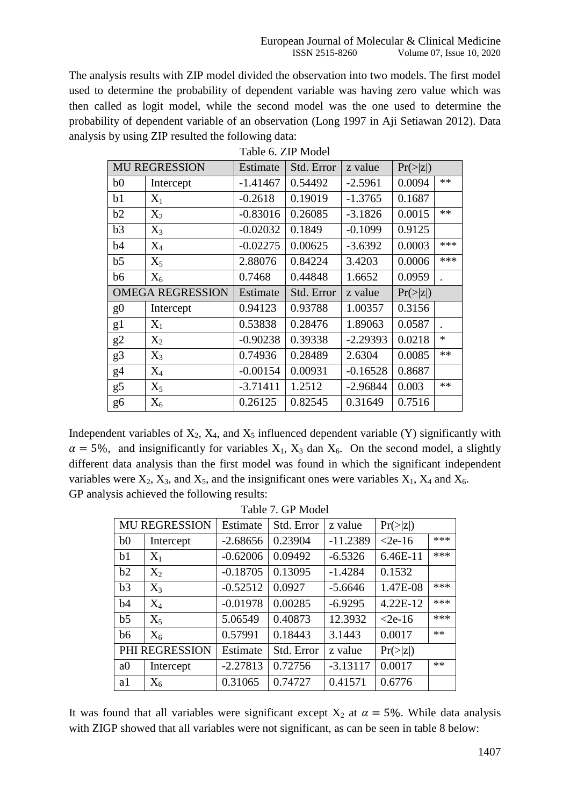The analysis results with ZIP model divided the observation into two models. The first model used to determine the probability of dependent variable was having zero value which was then called as logit model, while the second model was the one used to determine the probability of dependent variable of an observation (Long 1997 in Aji Setiawan 2012). Data analysis by using ZIP resulted the following data:

|                | <b>MU REGRESSION</b>    | Estimate   | Std. Error | z value    | Pr(> z ) |        |
|----------------|-------------------------|------------|------------|------------|----------|--------|
| b0             | Intercept               | $-1.41467$ | 0.54492    | $-2.5961$  | 0.0094   | **     |
| b1             | $X_1$                   | $-0.2618$  | 0.19019    | $-1.3765$  | 0.1687   |        |
| b2             | $X_2$                   | $-0.83016$ | 0.26085    | $-3.1826$  | 0.0015   | $**$   |
| b3             | $X_3$                   | $-0.02032$ | 0.1849     | $-0.1099$  | 0.9125   |        |
| b4             | $X_4$                   | $-0.02275$ | 0.00625    | $-3.6392$  | 0.0003   | ***    |
| b <sub>5</sub> | $X_5$                   | 2.88076    | 0.84224    | 3.4203     | 0.0006   | ***    |
| b6             | $X_6$                   | 0.7468     | 0.44848    | 1.6652     | 0.0959   |        |
|                | <b>OMEGA REGRESSION</b> | Estimate   | Std. Error | z value    | Pr(> z ) |        |
| g <sub>0</sub> | Intercept               | 0.94123    | 0.93788    | 1.00357    | 0.3156   |        |
| g1             | $X_1$                   | 0.53838    | 0.28476    | 1.89063    | 0.0587   |        |
| g2             | $X_2$                   | $-0.90238$ | 0.39338    | $-2.29393$ | 0.0218   | $\ast$ |
| g3             | $X_3$                   | 0.74936    | 0.28489    | 2.6304     | 0.0085   | **     |
| g4             | $X_4$                   | $-0.00154$ | 0.00931    | $-0.16528$ | 0.8687   |        |
| g5             | $X_5$                   | $-3.71411$ | 1.2512     | $-2.96844$ | 0.003    | **     |
| g6             | $X_6$                   | 0.26125    | 0.82545    | 0.31649    | 0.7516   |        |

Table 6. ZIP Model

Independent variables of  $X_2$ ,  $X_4$ , and  $X_5$  influenced dependent variable (Y) significantly with  $\alpha = 5\%$ , and insignificantly for variables  $X_1$ ,  $X_3$  dan  $X_6$ . On the second model, a slightly different data analysis than the first model was found in which the significant independent variables were  $X_2$ ,  $X_3$ , and  $X_5$ , and the insignificant ones were variables  $X_1$ ,  $X_4$  and  $X_6$ . GP analysis achieved the following results:

|                | <b>MU REGRESSION</b> | Estimate   | Std. Error | z value    | Pr(> z )  |      |
|----------------|----------------------|------------|------------|------------|-----------|------|
| b <sub>0</sub> | Intercept            | $-2.68656$ | 0.23904    | $-11.2389$ | $<$ 2e-16 | ***  |
| b <sub>1</sub> | $X_1$                | $-0.62006$ | 0.09492    | $-6.5326$  | 6.46E-11  | ***  |
| b2             | $X_2$                | $-0.18705$ | 0.13095    | $-1.4284$  | 0.1532    |      |
| b3             | $X_3$                | $-0.52512$ | 0.0927     | $-5.6646$  | 1.47E-08  | ***  |
| b4             | $X_4$                | $-0.01978$ | 0.00285    | $-6.9295$  | 4.22E-12  | ***  |
| b <sub>5</sub> | $X_5$                | 5.06549    | 0.40873    | 12.3932    | $<$ 2e-16 | ***  |
| b6             | $X_6$                | 0.57991    | 0.18443    | 3.1443     | 0.0017    | **   |
|                | PHI REGRESSION       | Estimate   | Std. Error | z value    | Pr(> z )  |      |
| a <sub>0</sub> | Intercept            | $-2.27813$ | 0.72756    | $-3.13117$ | 0.0017    | $**$ |
| a1             | $X_6$                | 0.31065    | 0.74727    | 0.41571    | 0.6776    |      |

| Table 7. GP Model |  |  |
|-------------------|--|--|
|-------------------|--|--|

It was found that all variables were significant except  $X_2$  at  $\alpha = 5\%$ . While data analysis with ZIGP showed that all variables were not significant, as can be seen in table 8 below: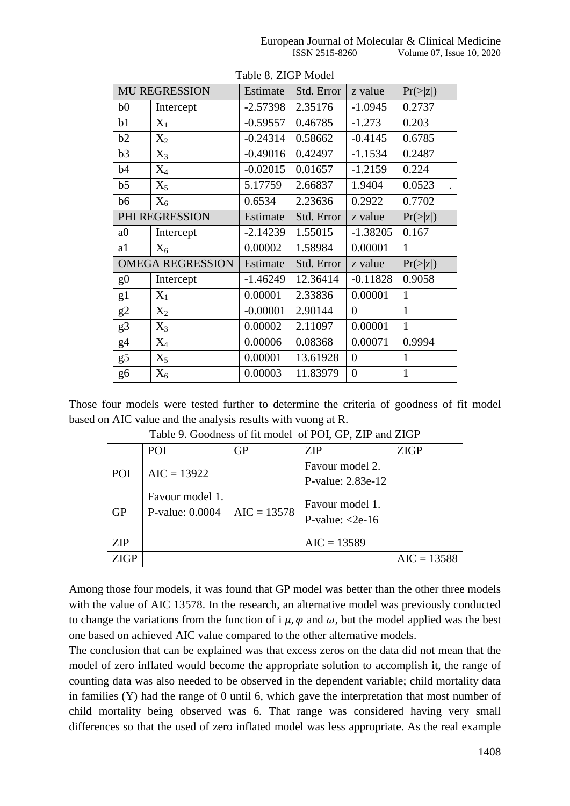|                | <b>MU REGRESSION</b>    | Estimate   | Std. Error | z value        | Pr(> z )     |
|----------------|-------------------------|------------|------------|----------------|--------------|
| b <sub>0</sub> | Intercept               | $-2.57398$ | 2.35176    | $-1.0945$      | 0.2737       |
| b1             | $X_1$                   | $-0.59557$ | 0.46785    | $-1.273$       | 0.203        |
| b2             | $X_2$                   | $-0.24314$ | 0.58662    | $-0.4145$      | 0.6785       |
| b3             | $X_3$                   | $-0.49016$ | 0.42497    | $-1.1534$      | 0.2487       |
| b4             | $X_4$                   | $-0.02015$ | 0.01657    | $-1.2159$      | 0.224        |
| b <sub>5</sub> | $X_5$                   | 5.17759    | 2.66837    | 1.9404         | 0.0523       |
| b <sub>6</sub> | $X_6$                   | 0.6534     | 2.23636    | 0.2922         | 0.7702       |
|                | PHI REGRESSION          | Estimate   | Std. Error | z value        | Pr(> z )     |
| a <sub>0</sub> | Intercept               | $-2.14239$ | 1.55015    | $-1.38205$     | 0.167        |
| a1             | $X_6$                   | 0.00002    | 1.58984    | 0.00001        | 1            |
|                | <b>OMEGA REGRESSION</b> | Estimate   | Std. Error | z value        | Pr(> z )     |
| g <sub>0</sub> | Intercept               | $-1.46249$ | 12.36414   | $-0.11828$     | 0.9058       |
| g1             | $X_1$                   | 0.00001    | 2.33836    | 0.00001        | 1            |
| g2             | $X_2$                   | $-0.00001$ | 2.90144    | $\theta$       | $\mathbf{1}$ |
| g3             | $X_3$                   | 0.00002    | 2.11097    | 0.00001        | $\mathbf{1}$ |
| g4             | $X_4$                   | 0.00006    | 0.08368    | 0.00071        | 0.9994       |
| g5             | $X_5$                   | 0.00001    | 13.61928   | $\overline{0}$ | $\mathbf{1}$ |
| g6             | $X_6$                   | 0.00003    | 11.83979   | $\overline{0}$ | $\mathbf{1}$ |

Table 8. ZIGP Model

Those four models were tested further to determine the criteria of goodness of fit model based on AIC value and the analysis results with vuong at R.

|             | POI             | <b>GP</b>     | ZIP                      | <b>ZIGP</b>   |
|-------------|-----------------|---------------|--------------------------|---------------|
| POI         | $AIC = 13922$   |               | Favour model 2.          |               |
|             |                 |               | P-value: 2.83e-12        |               |
|             | Favour model 1. |               | Favour model 1.          |               |
| <b>GP</b>   | P-value: 0.0004 | $AIC = 13578$ | P-value: $\langle$ 2e-16 |               |
|             |                 |               |                          |               |
| <b>ZIP</b>  |                 |               | $AIC = 13589$            |               |
| <b>ZIGP</b> |                 |               |                          | $AIC = 13588$ |

Table 9. Goodness of fit model of POI, GP, ZIP and ZIGP

Among those four models, it was found that GP model was better than the other three models with the value of AIC 13578. In the research, an alternative model was previously conducted to change the variations from the function of i  $\mu$ ,  $\varphi$  and  $\omega$ , but the model applied was the best one based on achieved AIC value compared to the other alternative models.

The conclusion that can be explained was that excess zeros on the data did not mean that the model of zero inflated would become the appropriate solution to accomplish it, the range of counting data was also needed to be observed in the dependent variable; child mortality data in families (Y) had the range of 0 until 6, which gave the interpretation that most number of child mortality being observed was 6. That range was considered having very small differences so that the used of zero inflated model was less appropriate. As the real example